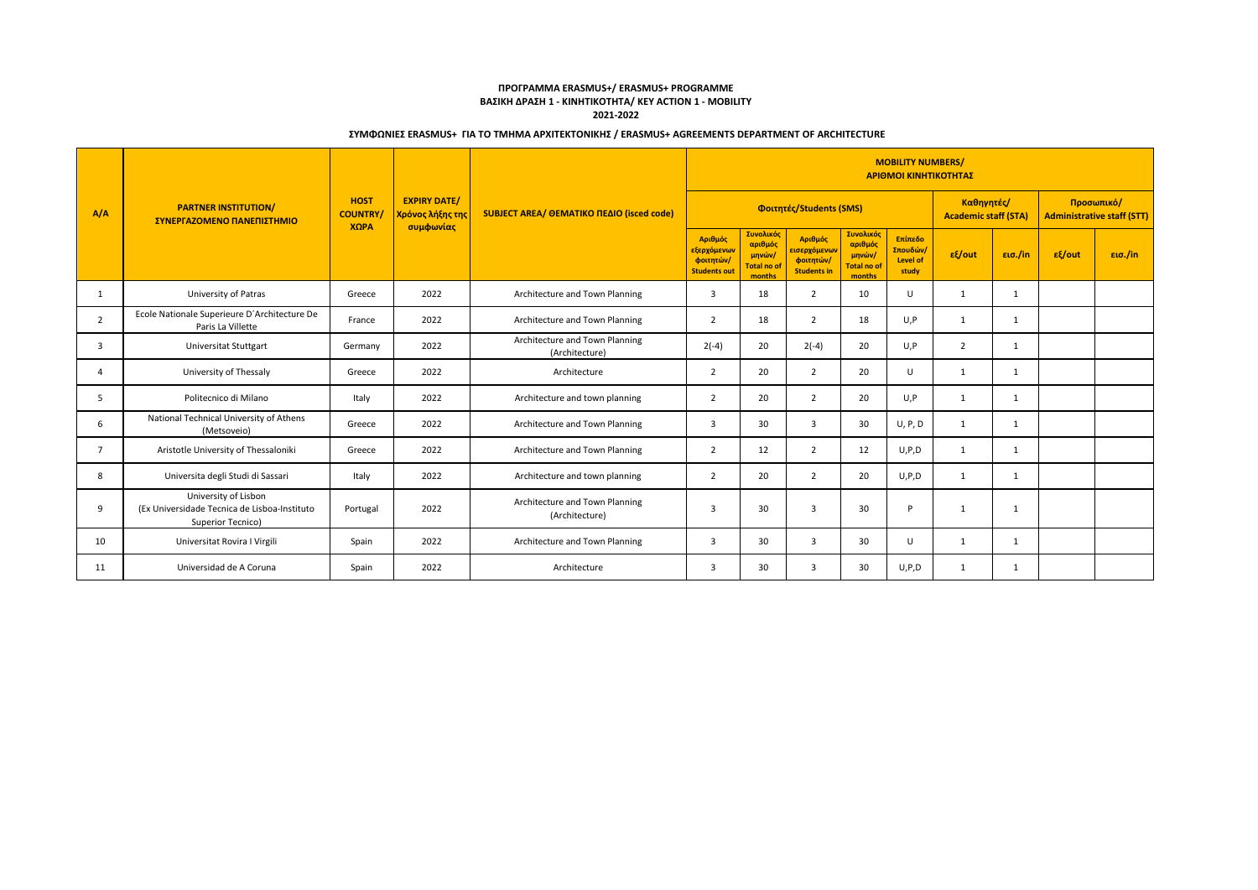## **ΠΡΟΓΡΑΜΜΑ ERASMUS+/ ERASMUS+ PROGRAMME ΒΑΣΙΚΗ ΔΡΑΣΗ 1 - ΚΙΝΗΤΙΚΟΤΗΤΑ/ KEY ACTION 1 - MOBILITY 2021-2022**

## **ΣΥΜΦΩΝΙΕΣ ERASMUS+ ΓΙΑ ΤΟ ΤΜΗΜΑ ΑΡΧΙΤΕΚΤΟΝΙΚΗΣ / ERASMUS+ AGREEMENTS DEPARTMENT OF ARCHITECTURE**

| A/A            | <b>PARTNER INSTITUTION/</b><br>ΣΥΝΕΡΓΑΖΟΜΕΝΟ ΠΑΝΕΠΙΣΤΗΜΙΟ                                 | <b>HOST</b><br><b>COUNTRY</b><br>XQPA | <b>EXPIRY DATE/</b><br><mark>Χρόνος λήξης τη</mark><br>συμφωνίας | SUBJECT AREA/ OEMATIKO ΠΕΔΙΟ (isced code)        | <b>MOBILITY NUMBERS/</b><br>ΑΡΙΘΜΟΙ ΚΙΝΗΤΙΚΟΤΗΤΑΣ          |                                                                |                                                                         |                                                                |                                                 |                                           |              |                                                 |         |  |
|----------------|-------------------------------------------------------------------------------------------|---------------------------------------|------------------------------------------------------------------|--------------------------------------------------|------------------------------------------------------------|----------------------------------------------------------------|-------------------------------------------------------------------------|----------------------------------------------------------------|-------------------------------------------------|-------------------------------------------|--------------|-------------------------------------------------|---------|--|
|                |                                                                                           |                                       |                                                                  |                                                  | Φοιτητές/Students (SMS)                                    |                                                                |                                                                         |                                                                |                                                 | Καθηνητές/<br><b>Academic staff (STA)</b> |              | Προσωπικό/<br><b>Administrative staff (STT)</b> |         |  |
|                |                                                                                           |                                       |                                                                  |                                                  | Αριθμός<br>εξερχόμενων<br>φοιτητών/<br><b>Students out</b> | Συνολικός<br>αριθμός<br>μηνών/<br><b>Total no of</b><br>months | Αριθμός<br><mark>εισερχόμενων</mark><br>φοιτητών/<br><b>Students in</b> | Συνολικός<br>αριθμός<br>μηνών/<br><b>Total no of</b><br>months | Επίπεδο<br>Σπουδών/<br><b>Level of</b><br>study | $ε$ {out                                  | εισ./in      | $ε$ {/out                                       | εισ./in |  |
| $\mathbf{1}$   | University of Patras                                                                      | Greece                                | 2022                                                             | Architecture and Town Planning                   | 3                                                          | 18                                                             | $\overline{2}$                                                          | 10                                                             | U                                               | $\overline{1}$                            | $\mathbf{1}$ |                                                 |         |  |
| $\overline{2}$ | Ecole Nationale Superieure D'Architecture De<br>Paris La Villette                         | France                                | 2022                                                             | Architecture and Town Planning                   | $\overline{2}$                                             | 18                                                             | $\overline{2}$                                                          | 18                                                             | U,P                                             | 1                                         | 1            |                                                 |         |  |
| 3              | Universitat Stuttgart                                                                     | Germany                               | 2022                                                             | Architecture and Town Planning<br>(Architecture) | $2(-4)$                                                    | 20                                                             | $2(-4)$                                                                 | 20                                                             | U,P                                             | $\overline{2}$                            | 1            |                                                 |         |  |
| $\overline{4}$ | University of Thessaly                                                                    | Greece                                | 2022                                                             | Architecture                                     | $\overline{2}$                                             | 20                                                             | $\overline{2}$                                                          | 20                                                             | U                                               | 1                                         | 1            |                                                 |         |  |
| .5             | Politecnico di Milano                                                                     | Italy                                 | 2022                                                             | Architecture and town planning                   | $\overline{2}$                                             | 20                                                             | $\overline{2}$                                                          | 20                                                             | U.P                                             | 1                                         | 1            |                                                 |         |  |
| 6              | National Technical University of Athens<br>(Metsoveio)                                    | Greece                                | 2022                                                             | Architecture and Town Planning                   | 3                                                          | 30                                                             | $\overline{3}$                                                          | 30                                                             | U, P, D                                         | 1                                         | 1            |                                                 |         |  |
| $\overline{7}$ | Aristotle University of Thessaloniki                                                      | Greece                                | 2022                                                             | Architecture and Town Planning                   | $\overline{2}$                                             | 12                                                             | $\overline{2}$                                                          | 12                                                             | U, P, D                                         | 1                                         | 1            |                                                 |         |  |
| 8              | Universita degli Studi di Sassari                                                         | Italy                                 | 2022                                                             | Architecture and town planning                   | 2                                                          | 20                                                             | 2                                                                       | 20                                                             | U.P.D                                           | 1                                         | 1            |                                                 |         |  |
| 9              | University of Lisbon<br>(Ex Universidade Tecnica de Lisboa-Instituto<br>Superior Tecnico) | Portugal                              | 2022                                                             | Architecture and Town Planning<br>(Architecture) | 3                                                          | 30                                                             | 3                                                                       | 30                                                             | D                                               | 1                                         | 1            |                                                 |         |  |
| 10             | Universitat Rovira I Virgili                                                              | Spain                                 | 2022                                                             | Architecture and Town Planning                   | 3                                                          | 30                                                             | 3                                                                       | 30                                                             | $\cup$                                          | 1                                         | 1            |                                                 |         |  |
| 11             | Universidad de A Coruna                                                                   | Spain                                 | 2022                                                             | Architecture                                     | 3                                                          | 30                                                             | 3                                                                       | 30                                                             | U.P.D                                           | 1                                         | 1            |                                                 |         |  |